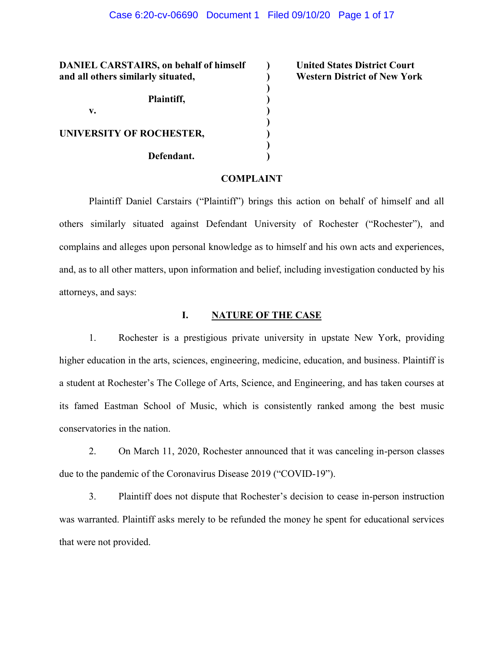**)**

**)**

**)**

**DANIEL CARSTAIRS, on behalf of himself ) United States District Court and all others similarly situated, ) Western District of New York Plaintiff, ) v. ) UNIVERSITY OF ROCHESTER, ) Defendant. )**

## **COMPLAINT**

Plaintiff Daniel Carstairs ("Plaintiff") brings this action on behalf of himself and all others similarly situated against Defendant University of Rochester ("Rochester"), and complains and alleges upon personal knowledge as to himself and his own acts and experiences, and, as to all other matters, upon information and belief, including investigation conducted by his attorneys, and says:

## **I. NATURE OF THE CASE**

1. Rochester is a prestigious private university in upstate New York, providing higher education in the arts, sciences, engineering, medicine, education, and business. Plaintiff is a student at Rochester's The College of Arts, Science, and Engineering, and has taken courses at its famed Eastman School of Music, which is consistently ranked among the best music conservatories in the nation.

2. On March 11, 2020, Rochester announced that it was canceling in-person classes due to the pandemic of the Coronavirus Disease 2019 ("COVID-19").

3. Plaintiff does not dispute that Rochester's decision to cease in-person instruction was warranted. Plaintiff asks merely to be refunded the money he spent for educational services that were not provided.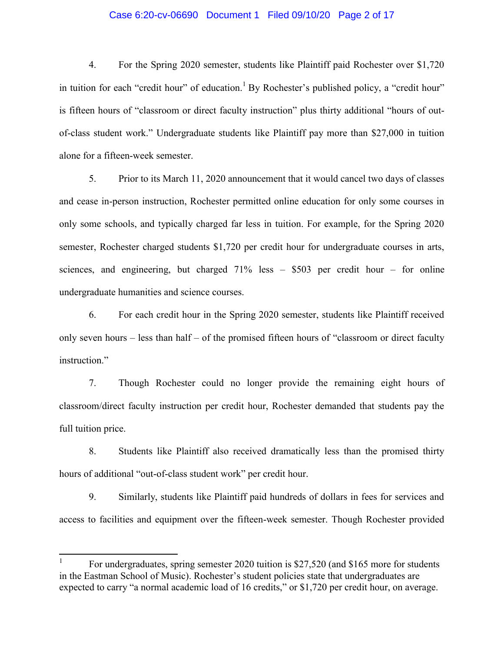## Case 6:20-cv-06690 Document 1 Filed 09/10/20 Page 2 of 17

4. For the Spring 2020 semester, students like Plaintiff paid Rochester over \$1,720 in tuition for each "credit hour" of education.<sup>1</sup> By Rochester's published policy, a "credit hour" is fifteen hours of "classroom or direct faculty instruction" plus thirty additional "hours of outof-class student work.<sup>"</sup> Undergraduate students like Plaintiff pay more than \$27,000 in tuition alone for a fifteen-week semester.

5. Prior to its March 11, 2020 announcement that it would cancel two days of classes and cease in-person instruction, Rochester permitted online education for only some courses in only some schools, and typically charged far less in tuition. For example, for the Spring 2020 semester, Rochester charged students \$1,720 per credit hour for undergraduate courses in arts, sciences, and engineering, but charged  $71\%$  less  $-$  \$503 per credit hour  $-$  for online undergraduate humanities and science courses.

6. For each credit hour in the Spring 2020 semester, students like Plaintiff received only seven hours  $-$  less than half  $-$  of the promised fifteen hours of "classroom or direct faculty instruction."

7. Though Rochester could no longer provide the remaining eight hours of classroom/direct faculty instruction per credit hour, Rochester demanded that students pay the full tuition price.

8. Students like Plaintiff also received dramatically less than the promised thirty hours of additional "out-of-class student work" per credit hour.

9. Similarly, students like Plaintiff paid hundreds of dollars in fees for services and access to facilities and equipment over the fifteen-week semester. Though Rochester provided

<sup>1</sup> For undergraduates, spring semester 2020 tuition is \$27,520 (and \$165 more for students in the Eastman School of Music). Rochester's student policies state that undergraduates are expected to carry "a normal academic load of 16 credits," or \$1,720 per credit hour, on average.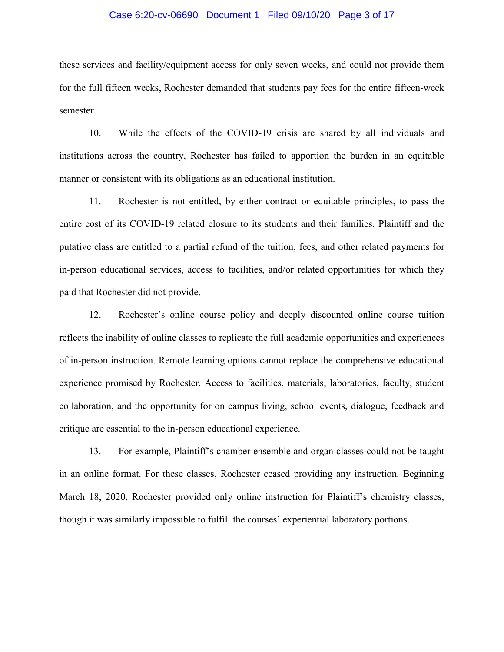## Case 6:20-cv-06690 Document 1 Filed 09/10/20 Page 3 of 17

these services and facility/equipment access for only seven weeks, and could not provide them for the full fifteen weeks, Rochester demanded that students pay fees for the entire fifteen-week semester.

10. While the effects of the COVID-19 crisis are shared by all individuals and institutions across the country, Rochester has failed to apportion the burden in an equitable manner or consistent with its obligations as an educational institution.

11. Rochester is not entitled, by either contract or equitable principles, to pass the entire cost of its COVID-19 related closure to its students and their families. Plaintiff and the putative class are entitled to a partial refund of the tuition, fees, and other related payments for in-person educational services, access to facilities, and/or related opportunities for which they paid that Rochester did not provide.

12. Rochester's online course policy and deeply discounted online course tuition reflects the inability of online classes to replicate the full academic opportunities and experiences of in-person instruction. Remote learning options cannot replace the comprehensive educational experience promised by Rochester. Access to facilities, materials, laboratories, faculty, student collaboration, and the opportunity for on campus living, school events, dialogue, feedback and critique are essential to the in-person educational experience.

13. For example, Plaintiff's chamber ensemble and organ classes could not be taught in an online format. For these classes, Rochester ceased providing any instruction. Beginning March 18, 2020, Rochester provided only online instruction for Plaintiff's chemistry classes, though it was similarly impossible to fulfill the courses' experiential laboratory portions.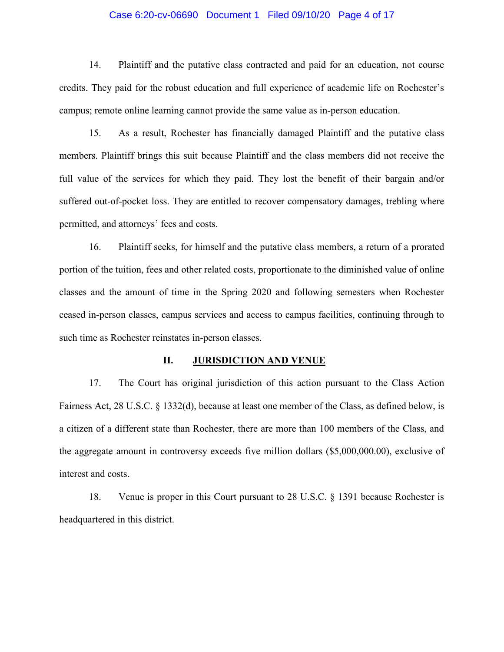## Case 6:20-cv-06690 Document 1 Filed 09/10/20 Page 4 of 17

14. Plaintiff and the putative class contracted and paid for an education, not course credits. They paid for the robust education and full experience of academic life on Rochester's campus; remote online learning cannot provide the same value as in-person education.

15. As a result, Rochester has financially damaged Plaintiff and the putative class members. Plaintiff brings this suit because Plaintiff and the class members did not receive the full value of the services for which they paid. They lost the benefit of their bargain and/or suffered out-of-pocket loss. They are entitled to recover compensatory damages, trebling where permitted, and attorneys' fees and costs.

16. Plaintiff seeks, for himself and the putative class members, a return of a prorated portion of the tuition, fees and other related costs, proportionate to the diminished value of online classes and the amount of time in the Spring 2020 and following semesters when Rochester ceased in-person classes, campus services and access to campus facilities, continuing through to such time as Rochester reinstates in-person classes.

#### **II. JURISDICTION AND VENUE**

17. The Court has original jurisdiction of this action pursuant to the Class Action Fairness Act, 28 U.S.C. § 1332(d), because at least one member of the Class, as defined below, is a citizen of a different state than Rochester, there are more than 100 members of the Class, and the aggregate amount in controversy exceeds five million dollars (\$5,000,000.00), exclusive of interest and costs.

18. Venue is proper in this Court pursuant to 28 U.S.C. § 1391 because Rochester is headquartered in this district.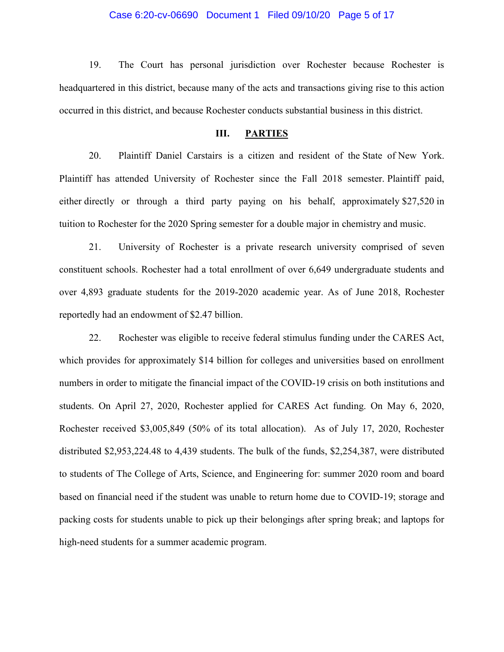#### Case 6:20-cv-06690 Document 1 Filed 09/10/20 Page 5 of 17

19. The Court has personal jurisdiction over Rochester because Rochester is headquartered in this district, because many of the acts and transactions giving rise to this action occurred in this district, and because Rochester conducts substantial business in this district.

#### **III. PARTIES**

20. Plaintiff Daniel Carstairs is a citizen and resident of the State of New York. Plaintiff has attended University of Rochester since the Fall 2018 semester. Plaintiff paid, either directly or through a third party paying on his behalf, approximately \$27,520 in tuition to Rochester for the 2020 Spring semester for a double major in chemistry and music.

21. University of Rochester is a private research university comprised of seven constituent schools. Rochester had a total enrollment of over 6,649 undergraduate students and over 4,893 graduate students for the 2019-2020 academic year. As of June 2018, Rochester reportedly had an endowment of \$2.47 billion.

22. Rochester was eligible to receive federal stimulus funding under the CARES Act, which provides for approximately \$14 billion for colleges and universities based on enrollment numbers in order to mitigate the financial impact of the COVID-19 crisis on both institutions and students. On April 27, 2020, Rochester applied for CARES Act funding. On May 6, 2020, Rochester received \$3,005,849 (50% of its total allocation). As of July 17, 2020, Rochester distributed \$2,953,224.48 to 4,439 students. The bulk of the funds, \$2,254,387, were distributed to students of The College of Arts, Science, and Engineering for: summer 2020 room and board based on financial need if the student was unable to return home due to COVID-19; storage and packing costs for students unable to pick up their belongings after spring break; and laptops for high-need students for a summer academic program.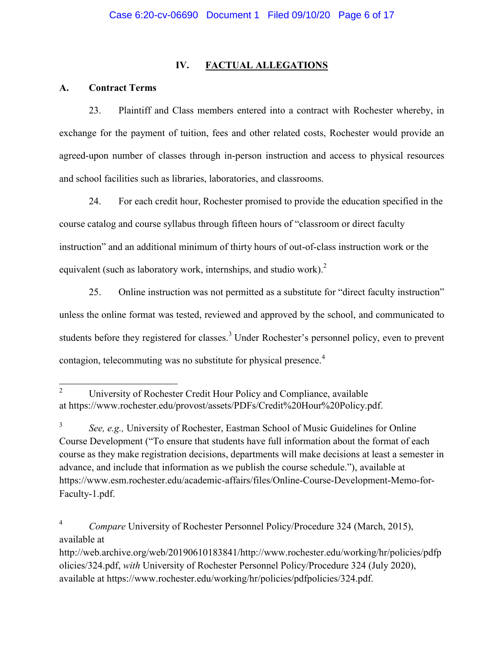# **IV. FACTUAL ALLEGATIONS**

## **A. Contract Terms**

23. Plaintiff and Class members entered into a contract with Rochester whereby, in exchange for the payment of tuition, fees and other related costs, Rochester would provide an agreed-upon number of classes through in-person instruction and access to physical resources and school facilities such as libraries, laboratories, and classrooms.

24. For each credit hour, Rochester promised to provide the education specified in the course catalog and course syllabus through fifteen hours of "classroom or direct faculty" instruction" and an additional minimum of thirty hours of out-of-class instruction work or the equivalent (such as laboratory work, internships, and studio work).<sup>2</sup>

25. Online instruction was not permitted as a substitute for "direct faculty instruction" unless the online format was tested, reviewed and approved by the school, and communicated to students before they registered for classes.<sup>3</sup> Under Rochester's personnel policy, even to prevent contagion, telecommuting was no substitute for physical presence.<sup>4</sup>

<sup>&</sup>lt;sup>2</sup> University of Rochester Credit Hour Policy and Compliance, available at [https://www.rochester.edu/provost/assets/PDFs/Credit%20Hour%20Policy.pdf.](https://www.rochester.edu/provost/assets/PDFs/Credit%20Hour%20Policy.pdf)

<sup>3</sup> *See, e.g.,* University of Rochester, Eastman School of Music Guidelines for Online Course Development ("To ensure that students have full information about the format of each course as they make registration decisions, departments will make decisions at least a semester in advance, and include that information as we publish the course schedule."), available at [https://www.esm.rochester.edu/academic-affairs/files/Online-Course-Development-Memo-for-](https://www.esm.rochester.edu/academic-affairs/files/Online-Course-Development-Memo-for-Faculty-1.pdf.)[Faculty-1.pdf.](https://www.esm.rochester.edu/academic-affairs/files/Online-Course-Development-Memo-for-Faculty-1.pdf.)

<sup>4</sup> *Compare* University of Rochester Personnel Policy/Procedure 324 (March, 2015), available at

http://web.archive.org/web/20190610183841/http://www.rochester.edu/working/hr/policies/pdfp olicies/324.pdf, *with* University of Rochester Personnel Policy/Procedure 324 (July 2020), available at https://www.rochester.edu/working/hr/policies/pdfpolicies/324.pdf.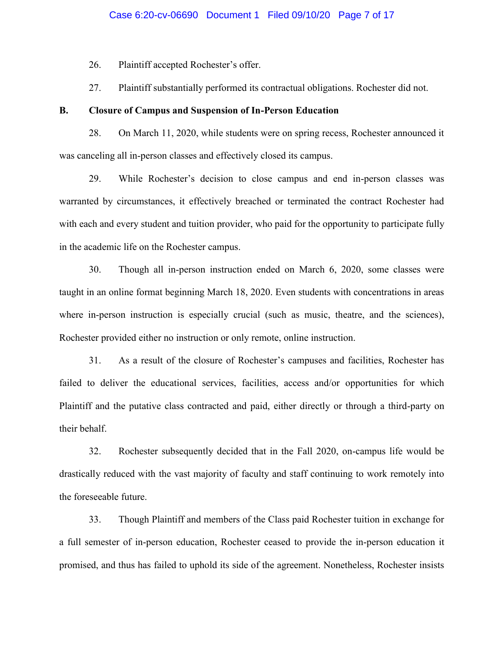26. Plaintiff accepted Rochester's offer.

27. Plaintiff substantially performed its contractual obligations. Rochester did not.

## **B. Closure of Campus and Suspension of In-Person Education**

28. On March 11, 2020, while students were on spring recess, Rochester announced it was canceling all in-person classes and effectively closed its campus.

29. While Rochester's decision to close campus and end in-person classes was warranted by circumstances, it effectively breached or terminated the contract Rochester had with each and every student and tuition provider, who paid for the opportunity to participate fully in the academic life on the Rochester campus.

30. Though all in-person instruction ended on March 6, 2020, some classes were taught in an online format beginning March 18, 2020. Even students with concentrations in areas where in-person instruction is especially crucial (such as music, theatre, and the sciences), Rochester provided either no instruction or only remote, online instruction.

31. As a result of the closure of Rochester's campuses and facilities, Rochester has failed to deliver the educational services, facilities, access and/or opportunities for which Plaintiff and the putative class contracted and paid, either directly or through a third-party on their behalf.

32. Rochester subsequently decided that in the Fall 2020, on-campus life would be drastically reduced with the vast majority of faculty and staff continuing to work remotely into the foreseeable future.

33. Though Plaintiff and members of the Class paid Rochester tuition in exchange for a full semester of in-person education, Rochester ceased to provide the in-person education it promised, and thus has failed to uphold its side of the agreement. Nonetheless, Rochester insists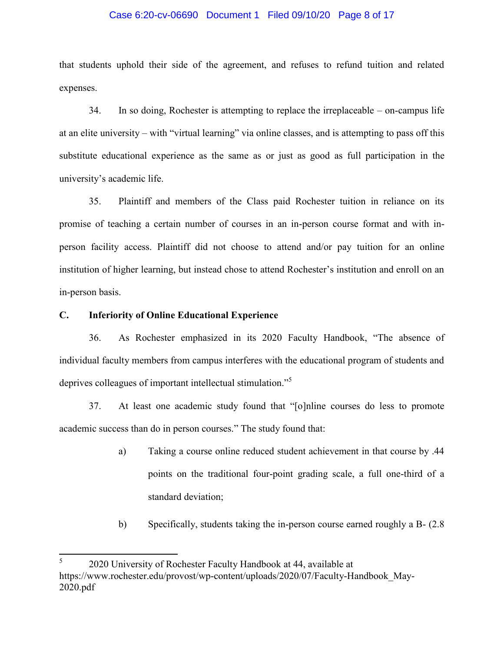## Case 6:20-cv-06690 Document 1 Filed 09/10/20 Page 8 of 17

that students uphold their side of the agreement, and refuses to refund tuition and related expenses.

 $34.$  In so doing, Rochester is attempting to replace the irreplaceable  $-$  on-campus life at an elite university – with "virtual learning" via online classes, and is attempting to pass off this substitute educational experience as the same as or just as good as full participation in the university's academic life.

35. Plaintiff and members of the Class paid Rochester tuition in reliance on its promise of teaching a certain number of courses in an in-person course format and with inperson facility access. Plaintiff did not choose to attend and/or pay tuition for an online institution of higher learning, but instead chose to attend Rochester's institution and enroll on an in-person basis.

## **C. Inferiority of Online Educational Experience**

36. As Rochester emphasized in its 2020 Faculty Handbook, "The absence of individual faculty members from campus interferes with the educational program of students and deprives colleagues of important intellectual stimulation.<sup>"5</sup>

37. At least one academic study found that "[o]nline courses do less to promote academic success than do in person courses." The study found that:

- a) Taking a course online reduced student achievement in that course by .44 points on the traditional four-point grading scale, a full one-third of a standard deviation;
- b) Specifically, students taking the in-person course earned roughly a B- (2.8

<sup>5</sup> 2020 University of Rochester Faculty Handbook at 44, available at [https://www.rochester.edu/provost/wp-content/uploads/2020/07/Faculty-Handbook\\_May-](https://www.rochester.edu/provost/wp-content/uploads/2020/07/Faculty-Handbook_May-2020.pdf)[2020.pdf](https://www.rochester.edu/provost/wp-content/uploads/2020/07/Faculty-Handbook_May-2020.pdf)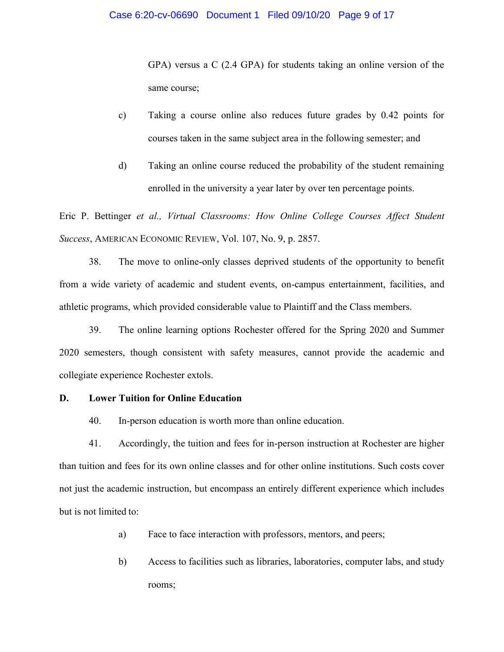GPA) versus a C (2.4 GPA) for students taking an online version of the same course;

- c) Taking a course online also reduces future grades by 0.42 points for courses taken in the same subject area in the following semester; and
- d) Taking an online course reduced the probability of the student remaining enrolled in the university a year later by over ten percentage points.

Eric P. Bettinger *et al., Virtual Classrooms: How Online College Courses Affect Student Success*, AMERICAN ECONOMIC REVIEW, Vol. 107, No. 9, p. 2857.

38. The move to online-only classes deprived students of the opportunity to benefit from a wide variety of academic and student events, on-campus entertainment, facilities, and athletic programs, which provided considerable value to Plaintiff and the Class members.

39. The online learning options Rochester offered for the Spring 2020 and Summer 2020 semesters, though consistent with safety measures, cannot provide the academic and collegiate experience Rochester extols.

## **D. Lower Tuition for Online Education**

40. In-person education is worth more than online education.

41. Accordingly, the tuition and fees for in-person instruction at Rochester are higher than tuition and fees for its own online classes and for other online institutions. Such costs cover not just the academic instruction, but encompass an entirely different experience which includes but is not limited to:

- a) Face to face interaction with professors, mentors, and peers;
- b) Access to facilities such as libraries, laboratories, computer labs, and study rooms;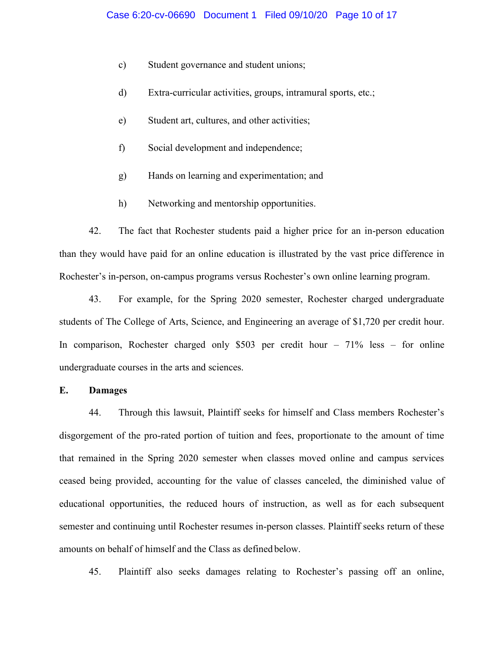- c) Student governance and student unions;
- d) Extra-curricular activities, groups, intramural sports, etc.;
- e) Student art, cultures, and other activities;
- f) Social development and independence;
- g) Hands on learning and experimentation; and
- h) Networking and mentorship opportunities.

42. The fact that Rochester students paid a higher price for an in-person education than they would have paid for an online education is illustrated by the vast price difference in Rochester's in-person, on-campus programs versus Rochester's own online learning program.

43. For example, for the Spring 2020 semester, Rochester charged undergraduate students of The College of Arts, Science, and Engineering an average of \$1,720 per credit hour. In comparison, Rochester charged only \$503 per credit hour  $-71\%$  less  $-$  for online undergraduate courses in the arts and sciences.

## **E. Damages**

44. Through this lawsuit, Plaintiff seeks for himself and Class members Rochester's disgorgement of the pro-rated portion of tuition and fees, proportionate to the amount of time that remained in the Spring 2020 semester when classes moved online and campus services ceased being provided, accounting for the value of classes canceled, the diminished value of educational opportunities, the reduced hours of instruction, as well as for each subsequent semester and continuing until Rochester resumes in-person classes. Plaintiff seeks return of these amounts on behalf of himself and the Class as defined below.

45. Plaintiff also seeks damages relating to Rochester's passing off an online,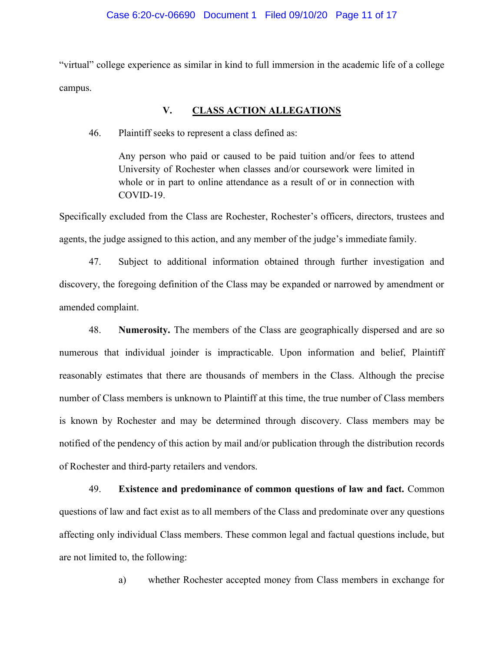"virtual" college experience as similar in kind to full immersion in the academic life of a college campus.

# **V. CLASS ACTION ALLEGATIONS**

46. Plaintiff seeks to represent a class defined as:

Any person who paid or caused to be paid tuition and/or fees to attend University of Rochester when classes and/or coursework were limited in whole or in part to online attendance as a result of or in connection with COVID-19.

Specifically excluded from the Class are Rochester, Rochester's officers, directors, trustees and agents, the judge assigned to this action, and any member of the judge's immediate family.

47. Subject to additional information obtained through further investigation and discovery, the foregoing definition of the Class may be expanded or narrowed by amendment or amended complaint.

48. **Numerosity.** The members of the Class are geographically dispersed and are so numerous that individual joinder is impracticable. Upon information and belief, Plaintiff reasonably estimates that there are thousands of members in the Class. Although the precise number of Class members is unknown to Plaintiff at this time, the true number of Class members is known by Rochester and may be determined through discovery. Class members may be notified of the pendency of this action by mail and/or publication through the distribution records of Rochester and third-party retailers and vendors.

49. **Existence and predominance of common questions of law and fact.** Common questions of law and fact exist as to all members of the Class and predominate over any questions affecting only individual Class members. These common legal and factual questions include, but are not limited to, the following:

a) whether Rochester accepted money from Class members in exchange for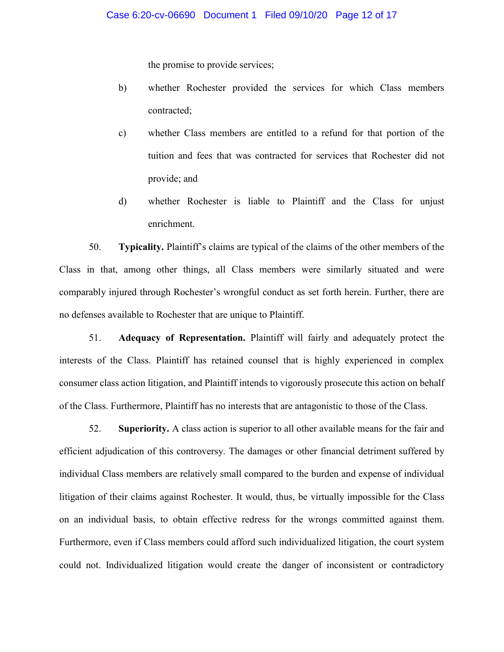the promise to provide services;

- b) whether Rochester provided the services for which Class members contracted;
- c) whether Class members are entitled to a refund for that portion of the tuition and fees that was contracted for services that Rochester did not provide; and
- d) whether Rochester is liable to Plaintiff and the Class for unjust enrichment.

50. **Typicality.** Plaintiff's claims are typical of the claims of the other members of the Class in that, among other things, all Class members were similarly situated and were comparably injured through Rochester's wrongful conduct as set forth herein. Further, there are no defenses available to Rochester that are unique to Plaintiff.

51. **Adequacy of Representation.** Plaintiff will fairly and adequately protect the interests of the Class. Plaintiff has retained counsel that is highly experienced in complex consumer class action litigation, and Plaintiff intends to vigorously prosecute this action on behalf of the Class. Furthermore, Plaintiff has no interests that are antagonistic to those of the Class.

52. **Superiority.** A class action is superior to all other available means for the fair and efficient adjudication of this controversy. The damages or other financial detriment suffered by individual Class members are relatively small compared to the burden and expense of individual litigation of their claims against Rochester. It would, thus, be virtually impossible for the Class on an individual basis, to obtain effective redress for the wrongs committed against them. Furthermore, even if Class members could afford such individualized litigation, the court system could not. Individualized litigation would create the danger of inconsistent or contradictory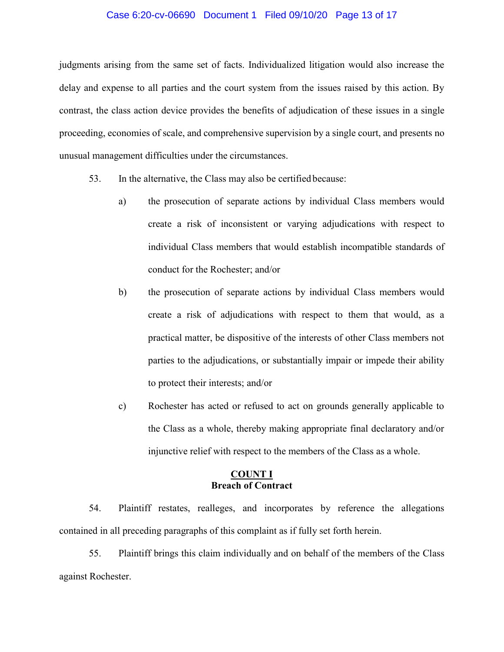## Case 6:20-cv-06690 Document 1 Filed 09/10/20 Page 13 of 17

judgments arising from the same set of facts. Individualized litigation would also increase the delay and expense to all parties and the court system from the issues raised by this action. By contrast, the class action device provides the benefits of adjudication of these issues in a single proceeding, economies of scale, and comprehensive supervision by a single court, and presents no unusual management difficulties under the circumstances.

- 53. In the alternative, the Class may also be certified because:
	- a) the prosecution of separate actions by individual Class members would create a risk of inconsistent or varying adjudications with respect to individual Class members that would establish incompatible standards of conduct for the Rochester; and/or
	- b) the prosecution of separate actions by individual Class members would create a risk of adjudications with respect to them that would, as a practical matter, be dispositive of the interests of other Class members not parties to the adjudications, or substantially impair or impede their ability to protect their interests; and/or
	- c) Rochester has acted or refused to act on grounds generally applicable to the Class as a whole, thereby making appropriate final declaratory and/or injunctive relief with respect to the members of the Class as a whole.

## **COUNT I Breach of Contract**

54. Plaintiff restates, realleges, and incorporates by reference the allegations contained in all preceding paragraphs of this complaint as if fully set forth herein.

55. Plaintiff brings this claim individually and on behalf of the members of the Class against Rochester.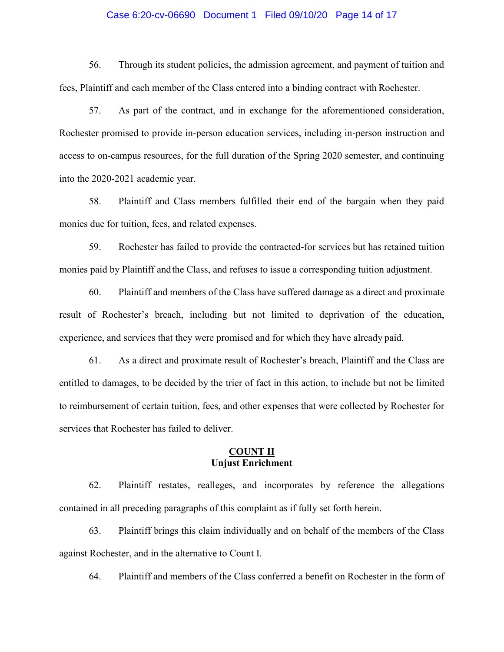### Case 6:20-cv-06690 Document 1 Filed 09/10/20 Page 14 of 17

56. Through its student policies, the admission agreement, and payment of tuition and fees, Plaintiff and each member of the Class entered into a binding contract with Rochester.

57. As part of the contract, and in exchange for the aforementioned consideration, Rochester promised to provide in-person education services, including in-person instruction and access to on-campus resources, for the full duration of the Spring 2020 semester, and continuing into the 2020-2021 academic year.

58. Plaintiff and Class members fulfilled their end of the bargain when they paid monies due for tuition, fees, and related expenses.

59. Rochester has failed to provide the contracted-for services but has retained tuition monies paid by Plaintiff andthe Class, and refuses to issue a corresponding tuition adjustment.

60. Plaintiff and members of the Class have suffered damage as a direct and proximate result of Rochester's breach, including but not limited to deprivation of the education, experience, and services that they were promised and for which they have already paid.

61. As a direct and proximate result of Rochester's breach, Plaintiff and the Class are entitled to damages, to be decided by the trier of fact in this action, to include but not be limited to reimbursement of certain tuition, fees, and other expenses that were collected by Rochester for services that Rochester has failed to deliver.

## **COUNT II Unjust Enrichment**

62. Plaintiff restates, realleges, and incorporates by reference the allegations contained in all preceding paragraphs of this complaint as if fully set forth herein.

63. Plaintiff brings this claim individually and on behalf of the members of the Class against Rochester, and in the alternative to Count I.

64. Plaintiff and members of the Class conferred a benefit on Rochester in the form of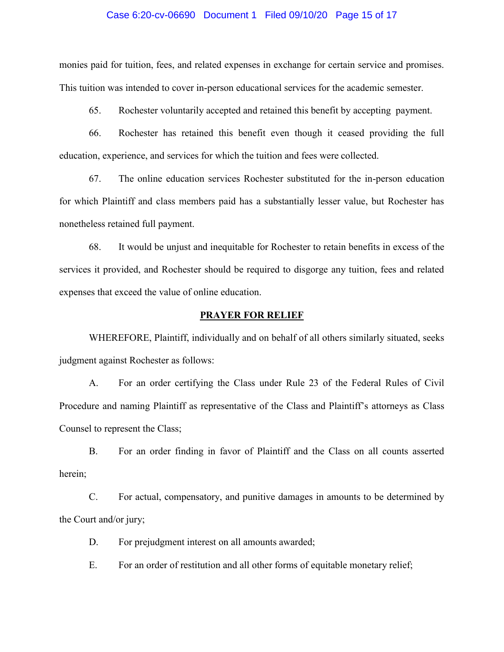#### Case 6:20-cv-06690 Document 1 Filed 09/10/20 Page 15 of 17

monies paid for tuition, fees, and related expenses in exchange for certain service and promises. This tuition was intended to cover in-person educational services for the academic semester.

65. Rochester voluntarily accepted and retained this benefit by accepting payment.

66. Rochester has retained this benefit even though it ceased providing the full education, experience, and services for which the tuition and fees were collected.

67. The online education services Rochester substituted for the in-person education for which Plaintiff and class members paid has a substantially lesser value, but Rochester has nonetheless retained full payment.

68. It would be unjust and inequitable for Rochester to retain benefits in excess of the services it provided, and Rochester should be required to disgorge any tuition, fees and related expenses that exceed the value of online education.

## **PRAYER FOR RELIEF**

WHEREFORE, Plaintiff, individually and on behalf of all others similarly situated, seeks judgment against Rochester as follows:

A. For an order certifying the Class under Rule 23 of the Federal Rules of Civil Procedure and naming Plaintiff as representative of the Class and Plaintiff's attorneys as Class Counsel to represent the Class;

B. For an order finding in favor of Plaintiff and the Class on all counts asserted herein;

C. For actual, compensatory, and punitive damages in amounts to be determined by the Court and/or jury;

D. For prejudgment interest on all amounts awarded;

E. For an order of restitution and all other forms of equitable monetary relief;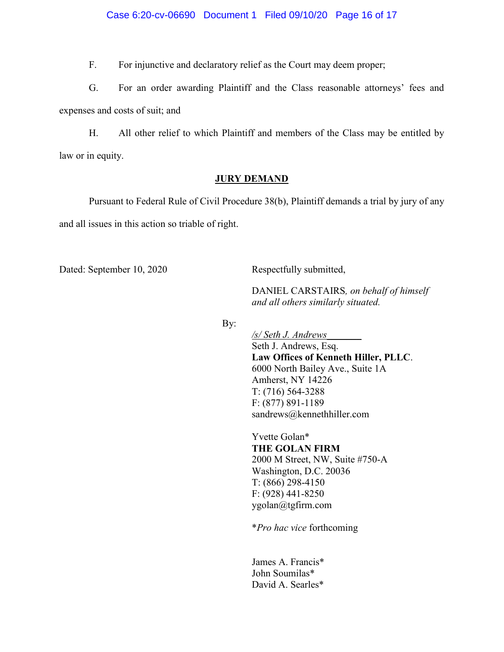F. For injunctive and declaratory relief as the Court may deem proper;

G. For an order awarding Plaintiff and the Class reasonable attorneys' fees and expenses and costs of suit; and

H. All other relief to which Plaintiff and members of the Class may be entitled by law or in equity.

## **JURY DEMAND**

Pursuant to Federal Rule of Civil Procedure 38(b), Plaintiff demands a trial by jury of any and all issues in this action so triable of right.

Dated: September 10, 2020 Respectfully submitted,

DANIEL CARSTAIRS*, on behalf of himself and all others similarly situated.*

By:

*/s/ Seth J. Andrews\_\_\_\_\_\_\_* Seth J. Andrews, Esq. **Law Offices of Kenneth Hiller, PLLC**. 6000 North Bailey Ave., Suite 1A Amherst, NY 14226 T: (716) 564-3288 F: (877) 891-1189 sandrews@kennethhiller.com

Yvette Golan\* **THE GOLAN FIRM** 2000 M Street, NW, Suite #750-A Washington, D.C. 20036 T: (866) 298-4150 F: (928) 441-8250 [ygolan@tgfirm.com](mailto:ygolan@tgfirm.com)

\**Pro hac vice* forthcoming

James A. Francis\* John Soumilas\* David A. Searles\*